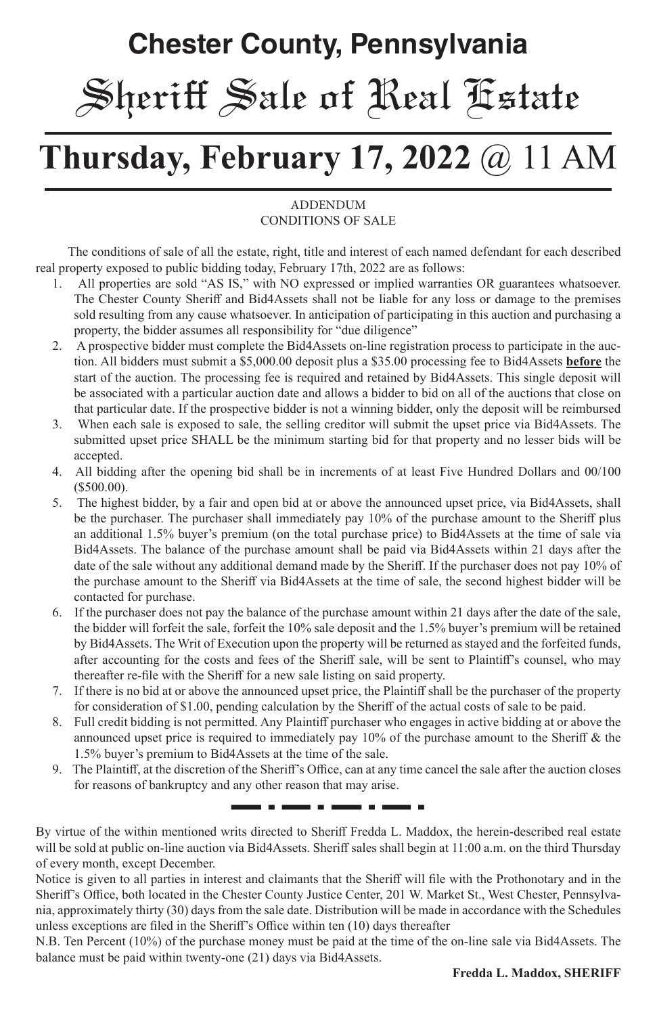# **Chester County, Pennsylvania** Sheriff Sale of Real Estate

# **Thursday, February 17, 2022** @ 11 AM

#### **ADDENDUM** CONDITIONS OF SALE

 The conditions of sale of all the estate, right, title and interest of each named defendant for each described real property exposed to public bidding today, February 17th, 2022 are as follows:

- 1. All properties are sold "AS IS," with NO expressed or implied warranties OR guarantees whatsoever. The Chester County Sheriff and Bid4Assets shall not be liable for any loss or damage to the premises sold resulting from any cause whatsoever. In anticipation of participating in this auction and purchasing a property, the bidder assumes all responsibility for "due diligence"
- 2. A prospective bidder must complete the Bid4Assets on-line registration process to participate in the auction. All bidders must submit a \$5,000.00 deposit plus a \$35.00 processing fee to Bid4Assets **before** the start of the auction. The processing fee is required and retained by Bid4Assets. This single deposit will be associated with a particular auction date and allows a bidder to bid on all of the auctions that close on that particular date. If the prospective bidder is not a winning bidder, only the deposit will be reimbursed
- 3. When each sale is exposed to sale, the selling creditor will submit the upset price via Bid4Assets. The submitted upset price SHALL be the minimum starting bid for that property and no lesser bids will be accepted.
- 4. All bidding after the opening bid shall be in increments of at least Five Hundred Dollars and 00/100 (\$500.00).
- 5. The highest bidder, by a fair and open bid at or above the announced upset price, via Bid4Assets, shall be the purchaser. The purchaser shall immediately pay 10% of the purchase amount to the Sheriff plus an additional 1.5% buyer's premium (on the total purchase price) to Bid4Assets at the time of sale via Bid4Assets. The balance of the purchase amount shall be paid via Bid4Assets within 21 days after the date of the sale without any additional demand made by the Sheriff. If the purchaser does not pay 10% of the purchase amount to the Sheriff via Bid4Assets at the time of sale, the second highest bidder will be contacted for purchase.
- 6. If the purchaser does not pay the balance of the purchase amount within 21 days after the date of the sale, the bidder will forfeit the sale, forfeit the 10% sale deposit and the 1.5% buyer's premium will be retained by Bid4Assets. The Writ of Execution upon the property will be returned as stayed and the forfeited funds, after accounting for the costs and fees of the Sheriff sale, will be sent to Plaintiff's counsel, who may thereafter re-file with the Sheriff for a new sale listing on said property.
- 7. If there is no bid at or above the announced upset price, the Plaintiff shall be the purchaser of the property for consideration of \$1.00, pending calculation by the Sheriff of the actual costs of sale to be paid.
- 8. Full credit bidding is not permitted. Any Plaintiff purchaser who engages in active bidding at or above the announced upset price is required to immediately pay 10% of the purchase amount to the Sheriff & the 1.5% buyer's premium to Bid4Assets at the time of the sale.
- 9. The Plaintiff, at the discretion of the Sheriff's Office, can at any time cancel the sale after the auction closes for reasons of bankruptcy and any other reason that may arise. . . <del>. . .</del> . <del>. . . . . . .</del> .

By virtue of the within mentioned writs directed to Sheriff Fredda L. Maddox, the herein-described real estate will be sold at public on-line auction via Bid4Assets. Sheriff sales shall begin at 11:00 a.m. on the third Thursday of every month, except December.

Notice is given to all parties in interest and claimants that the Sheriff will file with the Prothonotary and in the Sheriff's Office, both located in the Chester County Justice Center, 201 W. Market St., West Chester, Pennsylvania, approximately thirty (30) days from the sale date. Distribution will be made in accordance with the Schedules unless exceptions are filed in the Sheriff's Office within ten (10) days thereafter

N.B. Ten Percent (10%) of the purchase money must be paid at the time of the on-line sale via Bid4Assets. The balance must be paid within twenty-one (21) days via Bid4Assets.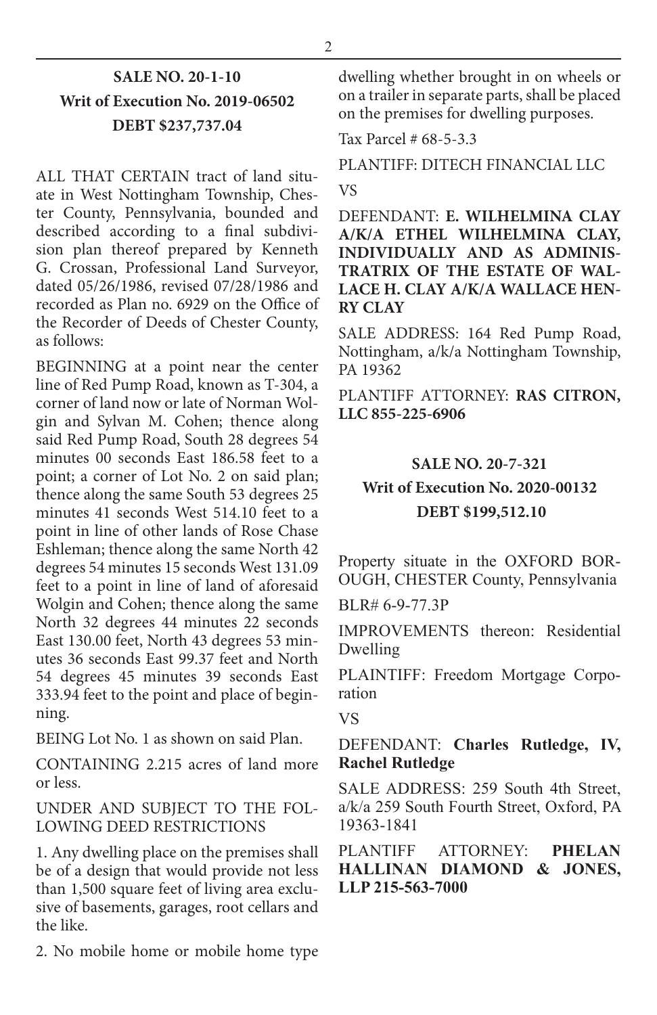# **SALE NO. 20-1-10 Writ of Execution No. 2019-06502 DEBT \$237,737.04**

ALL THAT CERTAIN tract of land situate in West Nottingham Township, Chester County, Pennsylvania, bounded and described according to a final subdivision plan thereof prepared by Kenneth G. Crossan, Professional Land Surveyor, dated 05/26/1986, revised 07/28/1986 and recorded as Plan no. 6929 on the Office of the Recorder of Deeds of Chester County, as follows:

BEGINNING at a point near the center line of Red Pump Road, known as T-304, a corner of land now or late of Norman Wolgin and Sylvan M. Cohen; thence along said Red Pump Road, South 28 degrees 54 minutes 00 seconds East 186.58 feet to a point; a corner of Lot No. 2 on said plan; thence along the same South 53 degrees 25 minutes 41 seconds West 514.10 feet to a point in line of other lands of Rose Chase Eshleman; thence along the same North 42 degrees 54 minutes 15 seconds West 131.09 feet to a point in line of land of aforesaid Wolgin and Cohen; thence along the same North 32 degrees 44 minutes 22 seconds East 130.00 feet, North 43 degrees 53 minutes 36 seconds East 99.37 feet and North 54 degrees 45 minutes 39 seconds East 333.94 feet to the point and place of beginning.

BEING Lot No. 1 as shown on said Plan.

CONTAINING 2.215 acres of land more or less.

UNDER AND SUBJECT TO THE FOL-LOWING DEED RESTRICTIONS

1. Any dwelling place on the premises shall be of a design that would provide not less than 1,500 square feet of living area exclusive of basements, garages, root cellars and the like.

2. No mobile home or mobile home type

dwelling whether brought in on wheels or on a trailer in separate parts, shall be placed on the premises for dwelling purposes.

Tax Parcel # 68-5-3.3

PLANTIFF: DITECH FINANCIAL LLC VS

DEFENDANT: **E. WILHELMINA CLAY A/K/A ETHEL WILHELMINA CLAY, INDIVIDUALLY AND AS ADMINIS-TRATRIX OF THE ESTATE OF WAL-LACE H. CLAY A/K/A WALLACE HEN-RY CLAY**

SALE ADDRESS: 164 Red Pump Road, Nottingham, a/k/a Nottingham Township, PA 19362

PLANTIFF ATTORNEY: **RAS CITRON, LLC 855-225-6906**

# **SALE NO. 20-7-321 Writ of Execution No. 2020-00132 DEBT \$199,512.10**

Property situate in the OXFORD BOR-OUGH, CHESTER County, Pennsylvania

BLR# 6-9-77.3P

IMPROVEMENTS thereon: Residential Dwelling

PLAINTIFF: Freedom Mortgage Corporation

VS

#### DEFENDANT: **Charles Rutledge, IV, Rachel Rutledge**

SALE ADDRESS: 259 South 4th Street, a/k/a 259 South Fourth Street, Oxford, PA 19363-1841

PLANTIFF ATTORNEY: **PHELAN HALLINAN DIAMOND & JONES, LLP 215-563-7000**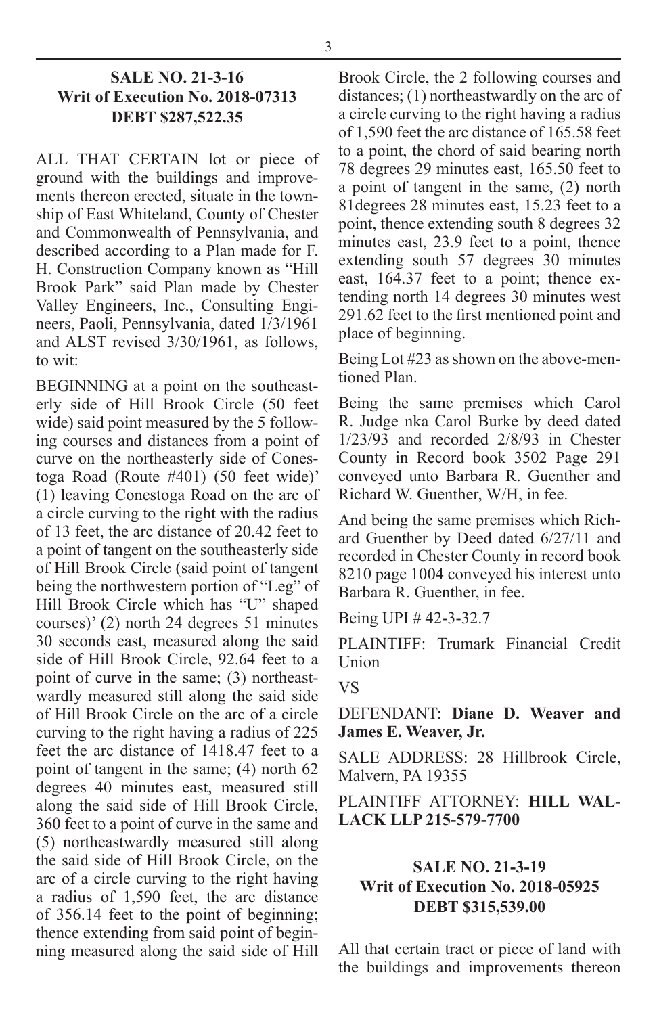#### **SALE NO. 21-3-16 Writ of Execution No. 2018-07313 DEBT \$287,522.35**

ALL THAT CERTAIN lot or piece of ground with the buildings and improvements thereon erected, situate in the township of East Whiteland, County of Chester and Commonwealth of Pennsylvania, and described according to a Plan made for F. H. Construction Company known as "Hill Brook Park" said Plan made by Chester Valley Engineers, Inc., Consulting Engineers, Paoli, Pennsylvania, dated 1/3/1961 and ALST revised 3/30/1961, as follows, to wit:

BEGINNING at a point on the southeasterly side of Hill Brook Circle (50 feet wide) said point measured by the 5 following courses and distances from a point of curve on the northeasterly side of Conestoga Road (Route #401) (50 feet wide)' (1) leaving Conestoga Road on the arc of a circle curving to the right with the radius of 13 feet, the arc distance of 20.42 feet to a point of tangent on the southeasterly side of Hill Brook Circle (said point of tangent being the northwestern portion of "Leg" of Hill Brook Circle which has "U" shaped courses)' (2) north 24 degrees 51 minutes 30 seconds east, measured along the said side of Hill Brook Circle, 92.64 feet to a point of curve in the same; (3) northeastwardly measured still along the said side of Hill Brook Circle on the arc of a circle curving to the right having a radius of 225 feet the arc distance of 1418.47 feet to a point of tangent in the same; (4) north 62 degrees 40 minutes east, measured still along the said side of Hill Brook Circle, 360 feet to a point of curve in the same and (5) northeastwardly measured still along the said side of Hill Brook Circle, on the arc of a circle curving to the right having a radius of 1,590 feet, the arc distance of 356.14 feet to the point of beginning; thence extending from said point of beginning measured along the said side of Hill

Brook Circle, the 2 following courses and distances; (1) northeastwardly on the arc of a circle curving to the right having a radius of 1,590 feet the arc distance of 165.58 feet to a point, the chord of said bearing north 78 degrees 29 minutes east, 165.50 feet to a point of tangent in the same, (2) north 81degrees 28 minutes east, 15.23 feet to a point, thence extending south 8 degrees 32 minutes east, 23.9 feet to a point, thence extending south 57 degrees 30 minutes east, 164.37 feet to a point; thence extending north 14 degrees 30 minutes west 291.62 feet to the first mentioned point and place of beginning.

Being Lot #23 as shown on the above-mentioned Plan.

Being the same premises which Carol R. Judge nka Carol Burke by deed dated 1/23/93 and recorded 2/8/93 in Chester County in Record book 3502 Page 291 conveyed unto Barbara R. Guenther and Richard W. Guenther, W/H, in fee.

And being the same premises which Richard Guenther by Deed dated 6/27/11 and recorded in Chester County in record book 8210 page 1004 conveyed his interest unto Barbara R. Guenther, in fee.

Being UPI # 42-3-32.7

PLAINTIFF: Trumark Financial Credit Union

VS

DEFENDANT: **Diane D. Weaver and James E. Weaver, Jr.**

SALE ADDRESS: 28 Hillbrook Circle, Malvern, PA 19355

PLAINTIFF ATTORNEY: **HILL WAL-LACK LLP 215-579-7700**

#### **SALE NO. 21-3-19 Writ of Execution No. 2018-05925 DEBT \$315,539.00**

All that certain tract or piece of land with the buildings and improvements thereon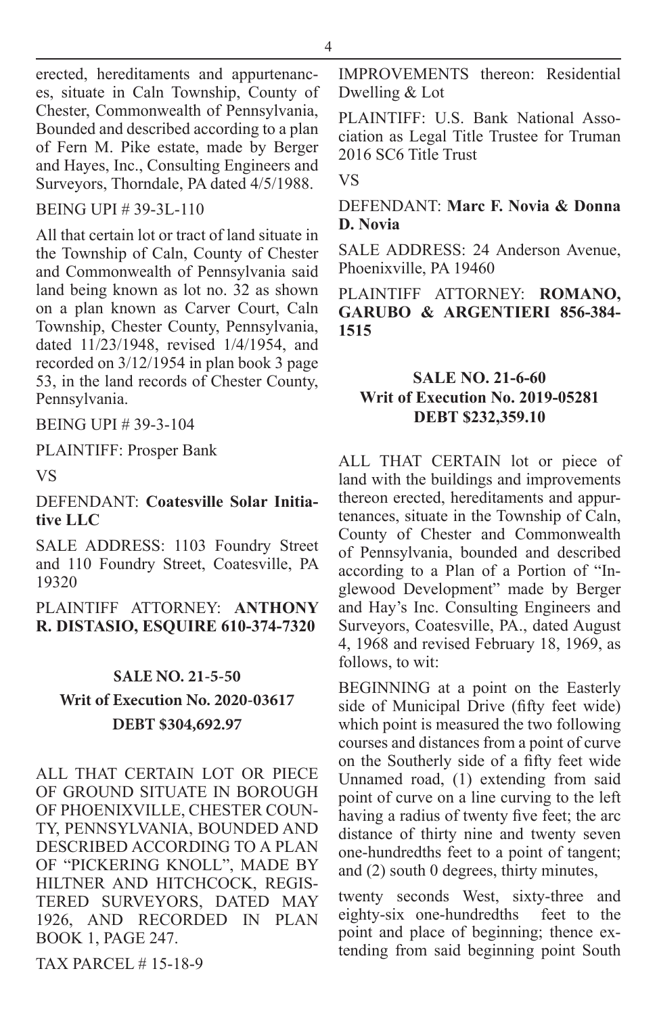erected, hereditaments and appurtenances, situate in Caln Township, County of Chester, Commonwealth of Pennsylvania, Bounded and described according to a plan of Fern M. Pike estate, made by Berger and Hayes, Inc., Consulting Engineers and Surveyors, Thorndale, PA dated 4/5/1988.

#### BEING UPI # 39-3L-110

All that certain lot or tract of land situate in the Township of Caln, County of Chester and Commonwealth of Pennsylvania said land being known as lot no. 32 as shown on a plan known as Carver Court, Caln Township, Chester County, Pennsylvania, dated 11/23/1948, revised 1/4/1954, and recorded on 3/12/1954 in plan book 3 page 53, in the land records of Chester County, Pennsylvania.

#### BEING UPI # 39-3-104

#### PLAINTIFF: Prosper Bank

VS

#### DEFENDANT: **Coatesville Solar Initiative LLC**

SALE ADDRESS: 1103 Foundry Street and 110 Foundry Street, Coatesville, PA 19320

#### PLAINTIFF ATTORNEY: **ANTHONY R. DISTASIO, ESQUIRE 610-374-7320**

# **SALE NO. 21-5-50 Writ of Execution No. 2020-03617 DEBT \$304,692.97**

ALL THAT CERTAIN LOT OR PIECE OF GROUND SITUATE IN BOROUGH OF PHOENIXVILLE, CHESTER COUN-TY, PENNSYLVANIA, BOUNDED AND DESCRIBED ACCORDING TO A PLAN OF "PICKERING KNOLL", MADE BY HILTNER AND HITCHCOCK, REGIS-TERED SURVEYORS, DATED MAY 1926, AND RECORDED IN PLAN BOOK 1, PAGE 247.

TAX PARCEL # 15-18-9

IMPROVEMENTS thereon: Residential Dwelling & Lot

PLAINTIFF: U.S. Bank National Association as Legal Title Trustee for Truman 2016 SC6 Title Trust

VS

#### DEFENDANT: **Marc F. Novia & Donna D. Novia**

SALE ADDRESS: 24 Anderson Avenue, Phoenixville, PA 19460

#### PLAINTIFF ATTORNEY: **ROMANO, GARUBO & ARGENTIERI 856-384- 1515**

#### **SALE NO. 21-6-60 Writ of Execution No. 2019-05281 DEBT \$232,359.10**

ALL THAT CERTAIN lot or piece of land with the buildings and improvements thereon erected, hereditaments and appurtenances, situate in the Township of Caln, County of Chester and Commonwealth of Pennsylvania, bounded and described according to a Plan of a Portion of "Inglewood Development" made by Berger and Hay's Inc. Consulting Engineers and Surveyors, Coatesville, PA., dated August 4, 1968 and revised February 18, 1969, as follows, to wit:

BEGINNING at a point on the Easterly side of Municipal Drive (fifty feet wide) which point is measured the two following courses and distances from a point of curve on the Southerly side of a fifty feet wide Unnamed road, (1) extending from said point of curve on a line curving to the left having a radius of twenty five feet; the arc distance of thirty nine and twenty seven one-hundredths feet to a point of tangent; and (2) south 0 degrees, thirty minutes,

twenty seconds West, sixty-three and eighty-six one-hundredths feet to the point and place of beginning; thence extending from said beginning point South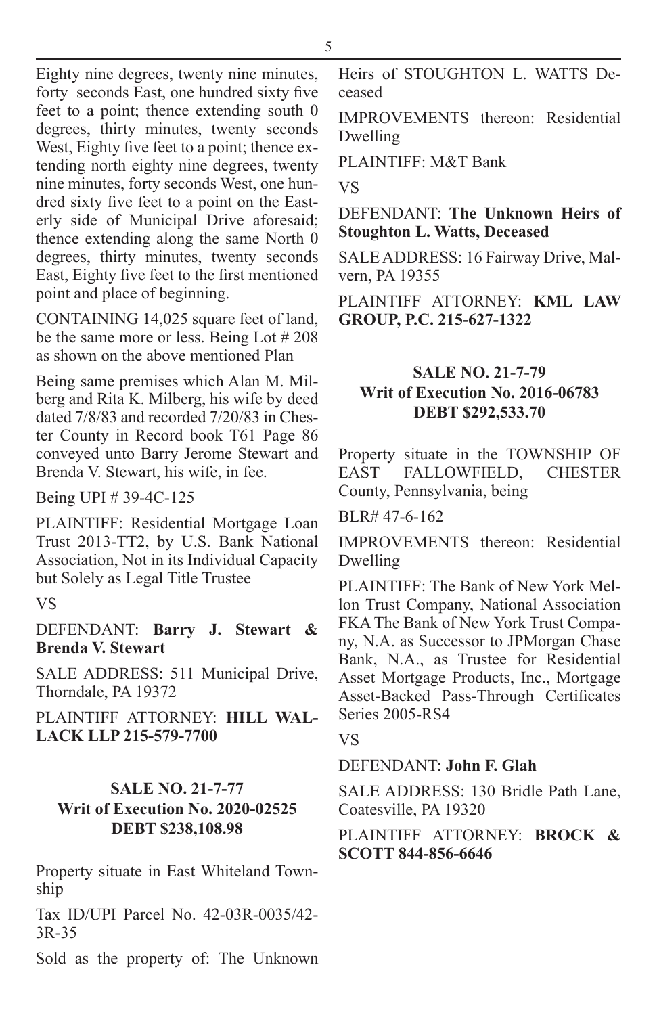Eighty nine degrees, twenty nine minutes, forty seconds East, one hundred sixty five feet to a point; thence extending south 0 degrees, thirty minutes, twenty seconds West, Eighty five feet to a point; thence extending north eighty nine degrees, twenty nine minutes, forty seconds West, one hundred sixty five feet to a point on the Easterly side of Municipal Drive aforesaid; thence extending along the same North 0 degrees, thirty minutes, twenty seconds East, Eighty five feet to the first mentioned point and place of beginning.

CONTAINING 14,025 square feet of land, be the same more or less. Being Lot # 208 as shown on the above mentioned Plan

Being same premises which Alan M. Milberg and Rita K. Milberg, his wife by deed dated 7/8/83 and recorded 7/20/83 in Chester County in Record book T61 Page 86 conveyed unto Barry Jerome Stewart and Brenda V. Stewart, his wife, in fee.

Being UPI # 39-4C-125

PLAINTIFF: Residential Mortgage Loan Trust 2013-TT2, by U.S. Bank National Association, Not in its Individual Capacity but Solely as Legal Title Trustee

#### VS

DEFENDANT: **Barry J. Stewart & Brenda V. Stewart**

SALE ADDRESS: 511 Municipal Drive, Thorndale, PA 19372

PLAINTIFF ATTORNEY: **HILL WAL-LACK LLP 215-579-7700**

### **SALE NO. 21-7-77 Writ of Execution No. 2020-02525 DEBT \$238,108.98**

Property situate in East Whiteland Township

Tax ID/UPI Parcel No. 42-03R-0035/42- 3R-35

Sold as the property of: The Unknown

Heirs of STOUGHTON L. WATTS Deceased

IMPROVEMENTS thereon: Residential Dwelling

PLAINTIFF: M&T Bank

VS

DEFENDANT: **The Unknown Heirs of Stoughton L. Watts, Deceased**

SALE ADDRESS: 16 Fairway Drive, Malvern, PA 19355

PLAINTIFF ATTORNEY: **KML LAW GROUP, P.C. 215-627-1322**

#### **SALE NO. 21-7-79 Writ of Execution No. 2016-06783 DEBT \$292,533.70**

Property situate in the TOWNSHIP OF EAST FALLOWFIELD, CHESTER County, Pennsylvania, being

BLR# 47-6-162

IMPROVEMENTS thereon: Residential Dwelling

PLAINTIFF: The Bank of New York Mellon Trust Company, National Association FKA The Bank of New York Trust Company, N.A. as Successor to JPMorgan Chase Bank, N.A., as Trustee for Residential Asset Mortgage Products, Inc., Mortgage Asset-Backed Pass-Through Certificates Series 2005-RS4

#### VS

#### DEFENDANT: **John F. Glah**

SALE ADDRESS: 130 Bridle Path Lane, Coatesville, PA 19320

#### PLAINTIFF ATTORNEY: **BROCK & SCOTT 844-856-6646**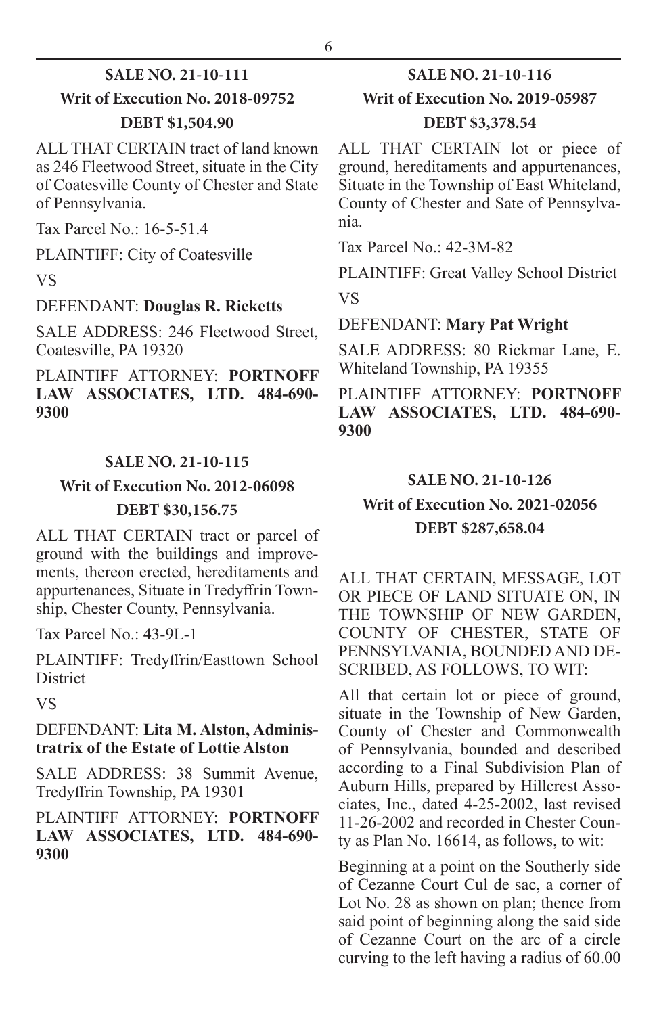# **SALE NO. 21-10-111 Writ of Execution No. 2018-09752**

#### **DEBT \$1,504.90**

ALL THAT CERTAIN tract of land known as 246 Fleetwood Street, situate in the City of Coatesville County of Chester and State of Pennsylvania.

Tax Parcel No.: 16-5-51.4

PLAINTIFF: City of Coatesville

VS

#### DEFENDANT: **Douglas R. Ricketts**

SALE ADDRESS: 246 Fleetwood Street, Coatesville, PA 19320

PLAINTIFF ATTORNEY: **PORTNOFF LAW ASSOCIATES, LTD. 484-690- 9300**

#### **SALE NO. 21-10-115**

# **Writ of Execution No. 2012-06098 DEBT \$30,156.75**

ALL THAT CERTAIN tract or parcel of ground with the buildings and improvements, thereon erected, hereditaments and appurtenances, Situate in Tredyffrin Township, Chester County, Pennsylvania.

Tax Parcel No.: 43-9L-1

PLAINTIFF: Tredyffrin/Easttown School **District** 

VS

#### DEFENDANT: **Lita M. Alston, Administratrix of the Estate of Lottie Alston**

SALE ADDRESS: 38 Summit Avenue, Tredyffrin Township, PA 19301

#### PLAINTIFF ATTORNEY: **PORTNOFF LAW ASSOCIATES, LTD. 484-690- 9300**

# **SALE NO. 21-10-116**

# **Writ of Execution No. 2019-05987**

#### **DEBT \$3,378.54**

ALL THAT CERTAIN lot or piece of ground, hereditaments and appurtenances, Situate in the Township of East Whiteland, County of Chester and Sate of Pennsylvania.

Tax Parcel No.: 42-3M-82

PLAINTIFF: Great Valley School District VS

#### DEFENDANT: **Mary Pat Wright**

SALE ADDRESS: 80 Rickmar Lane, E. Whiteland Township, PA 19355

PLAINTIFF ATTORNEY: **PORTNOFF LAW ASSOCIATES, LTD. 484-690- 9300**

#### **SALE NO. 21-10-126**

# **Writ of Execution No. 2021-02056 DEBT \$287,658.04**

ALL THAT CERTAIN, MESSAGE, LOT OR PIECE OF LAND SITUATE ON, IN THE TOWNSHIP OF NEW GARDEN, COUNTY OF CHESTER, STATE OF PENNSYLVANIA, BOUNDED AND DE-SCRIBED, AS FOLLOWS, TO WIT:

All that certain lot or piece of ground, situate in the Township of New Garden, County of Chester and Commonwealth of Pennsylvania, bounded and described according to a Final Subdivision Plan of Auburn Hills, prepared by Hillcrest Associates, Inc., dated 4-25-2002, last revised 11-26-2002 and recorded in Chester County as Plan No. 16614, as follows, to wit:

Beginning at a point on the Southerly side of Cezanne Court Cul de sac, a corner of Lot No. 28 as shown on plan; thence from said point of beginning along the said side of Cezanne Court on the arc of a circle curving to the left having a radius of 60.00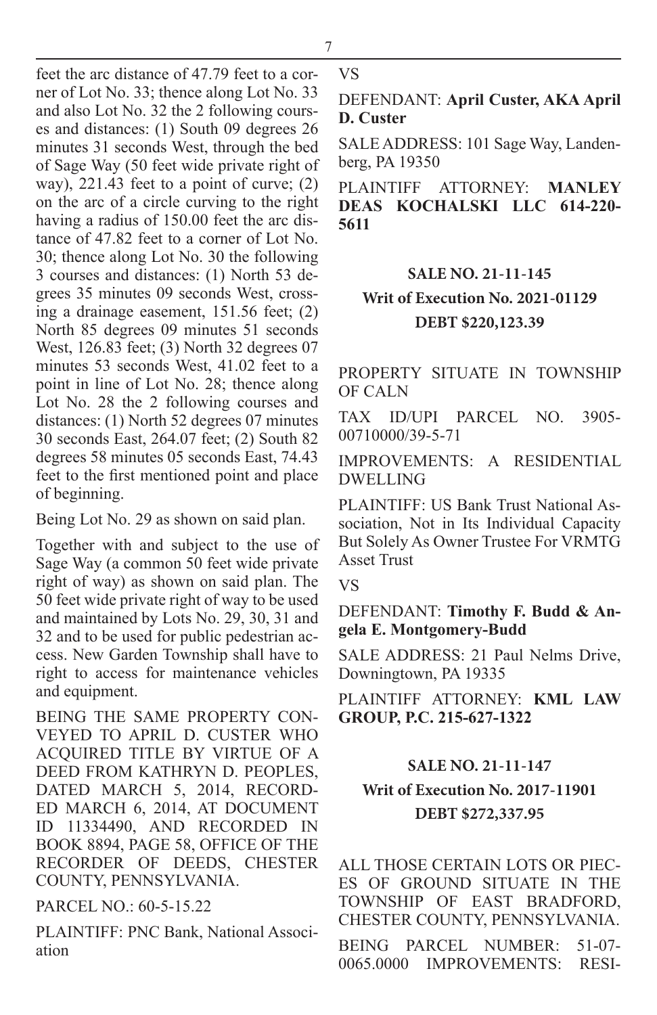feet the arc distance of 47.79 feet to a corner of Lot No. 33; thence along Lot No. 33 and also Lot No. 32 the 2 following courses and distances: (1) South 09 degrees 26 minutes 31 seconds West, through the bed of Sage Way (50 feet wide private right of way), 221.43 feet to a point of curve; (2) on the arc of a circle curving to the right having a radius of 150.00 feet the arc distance of 47.82 feet to a corner of Lot No. 30; thence along Lot No. 30 the following 3 courses and distances: (1) North 53 degrees 35 minutes 09 seconds West, crossing a drainage easement, 151.56 feet; (2) North 85 degrees 09 minutes 51 seconds West, 126.83 feet; (3) North 32 degrees 07 minutes 53 seconds West, 41.02 feet to a point in line of Lot No. 28; thence along Lot No. 28 the 2 following courses and distances: (1) North 52 degrees 07 minutes 30 seconds East, 264.07 feet; (2) South 82 degrees 58 minutes 05 seconds East, 74.43 feet to the first mentioned point and place of beginning.

Being Lot No. 29 as shown on said plan.

Together with and subject to the use of Sage Way (a common 50 feet wide private right of way) as shown on said plan. The 50 feet wide private right of way to be used and maintained by Lots No. 29, 30, 31 and 32 and to be used for public pedestrian access. New Garden Township shall have to right to access for maintenance vehicles and equipment.

BEING THE SAME PROPERTY CON-VEYED TO APRIL D. CUSTER WHO ACQUIRED TITLE BY VIRTUE OF A DEED FROM KATHRYN D. PEOPLES, DATED MARCH 5, 2014, RECORD-ED MARCH 6, 2014, AT DOCUMENT ID 11334490, AND RECORDED IN BOOK 8894, PAGE 58, OFFICE OF THE RECORDER OF DEEDS, CHESTER COUNTY, PENNSYLVANIA.

PARCEL NO.: 60-5-15.22

PLAINTIFF: PNC Bank, National Association

VS

DEFENDANT: **April Custer, AKA April D. Custer**

SALE ADDRESS: 101 Sage Way, Landenberg, PA 19350

PLAINTIFF ATTORNEY: **MANLEY DEAS KOCHALSKI LLC 614-220- 5611**

# **SALE NO. 21-11-145**

### **Writ of Execution No. 2021-01129 DEBT \$220,123.39**

PROPERTY SITUATE IN TOWNSHIP OF CALN

TAX ID/UPI PARCEL NO. 3905- 00710000/39-5-71

IMPROVEMENTS: A RESIDENTIAL DWELLING

PLAINTIFF: US Bank Trust National Association, Not in Its Individual Capacity But Solely As Owner Trustee For VRMTG Asset Trust

VS

DEFENDANT: **Timothy F. Budd & Angela E. Montgomery-Budd**

SALE ADDRESS: 21 Paul Nelms Drive, Downingtown, PA 19335

PLAINTIFF ATTORNEY: **KML LAW GROUP, P.C. 215-627-1322**

# **SALE NO. 21-11-147**

# **Writ of Execution No. 2017-11901 DEBT \$272,337.95**

ALL THOSE CERTAIN LOTS OR PIEC-ES OF GROUND SITUATE IN THE TOWNSHIP OF EAST BRADFORD, CHESTER COUNTY, PENNSYLVANIA.

BEING PARCEL NUMBER: 51-07- 0065.0000 IMPROVEMENTS: RESI-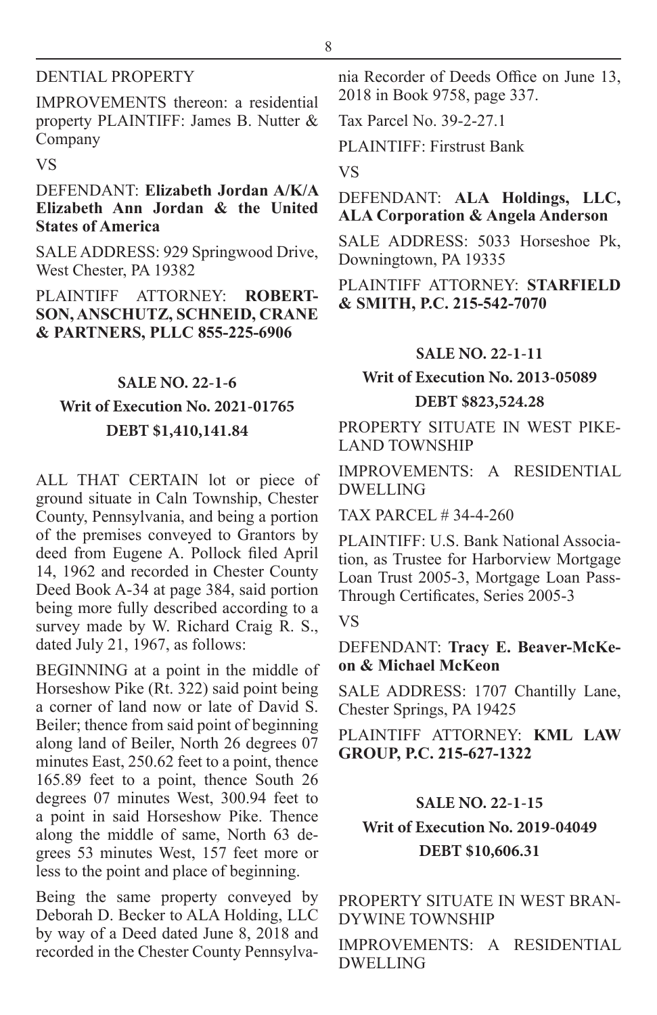#### DENTIAL PROPERTY

IMPROVEMENTS thereon: a residential property PLAINTIFF: James B. Nutter & Company

#### VS

#### DEFENDANT: **Elizabeth Jordan A/K/A Elizabeth Ann Jordan & the United States of America**

SALE ADDRESS: 929 Springwood Drive, West Chester, PA 19382

PLAINTIFF ATTORNEY: **ROBERT-SON, ANSCHUTZ, SCHNEID, CRANE & PARTNERS, PLLC 855-225-6906**

#### **SALE NO. 22-1-6**

# **Writ of Execution No. 2021-01765 DEBT \$1,410,141.84**

ALL THAT CERTAIN lot or piece of ground situate in Caln Township, Chester County, Pennsylvania, and being a portion of the premises conveyed to Grantors by deed from Eugene A. Pollock filed April 14, 1962 and recorded in Chester County Deed Book A-34 at page 384, said portion being more fully described according to a survey made by W. Richard Craig R. S., dated July 21, 1967, as follows:

BEGINNING at a point in the middle of Horseshow Pike (Rt. 322) said point being a corner of land now or late of David S. Beiler; thence from said point of beginning along land of Beiler, North 26 degrees 07 minutes East, 250.62 feet to a point, thence 165.89 feet to a point, thence South 26 degrees 07 minutes West, 300.94 feet to a point in said Horseshow Pike. Thence along the middle of same, North 63 degrees 53 minutes West, 157 feet more or less to the point and place of beginning.

Being the same property conveyed by Deborah D. Becker to ALA Holding, LLC by way of a Deed dated June 8, 2018 and recorded in the Chester County Pennsylvania Recorder of Deeds Office on June 13, 2018 in Book 9758, page 337.

Tax Parcel No. 39-2-27.1

PLAINTIFF: Firstrust Bank

VS

#### DEFENDANT: **ALA Holdings, LLC, ALA Corporation & Angela Anderson**

SALE ADDRESS: 5033 Horseshoe Pk, Downingtown, PA 19335

#### PLAINTIFF ATTORNEY: **STARFIELD & SMITH, P.C. 215-542-7070**

#### **SALE NO. 22-1-11**

# **Writ of Execution No. 2013-05089 DEBT \$823,524.28**

PROPERTY SITUATE IN WEST PIKE-LAND TOWNSHIP

IMPROVEMENTS: A RESIDENTIAL DWELLING

TAX PARCEL # 34-4-260

PLAINTIFF: U.S. Bank National Association, as Trustee for Harborview Mortgage Loan Trust 2005-3, Mortgage Loan Pass-Through Certificates, Series 2005-3

#### VS

DEFENDANT: **Tracy E. Beaver-McKeon & Michael McKeon**

SALE ADDRESS: 1707 Chantilly Lane, Chester Springs, PA 19425

PLAINTIFF ATTORNEY: **KML LAW GROUP, P.C. 215-627-1322**

# **SALE NO. 22-1-15 Writ of Execution No. 2019-04049 DEBT \$10,606.31**

#### PROPERTY SITUATE IN WEST BRAN-DYWINE TOWNSHIP

IMPROVEMENTS: A RESIDENTIAL DWELLING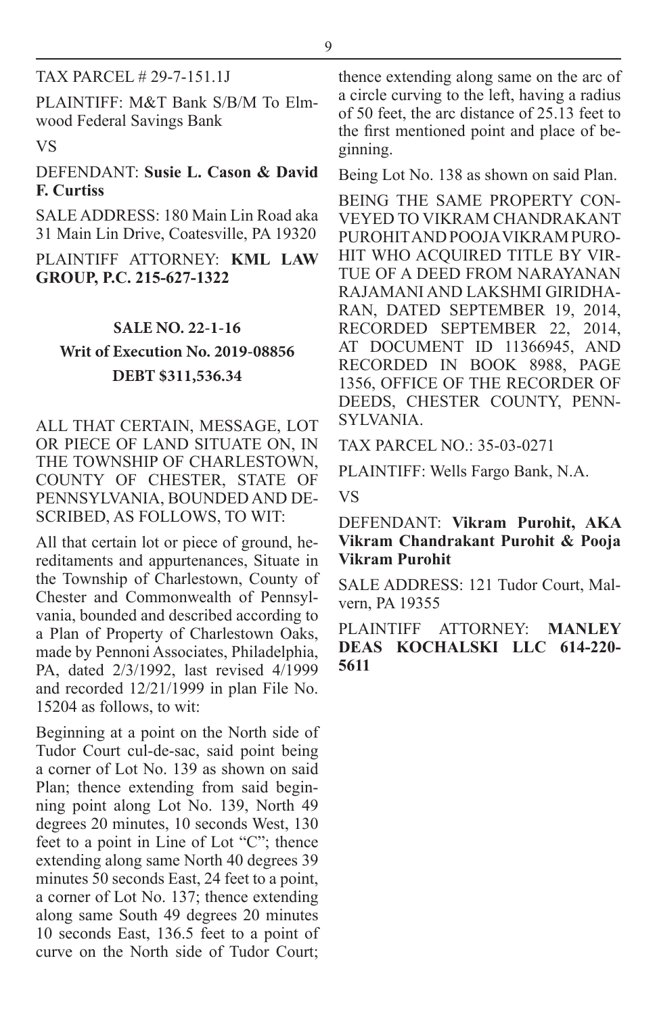#### TAX PARCEL # 29-7-151.1J

PLAINTIFF: M&T Bank S/B/M To Elmwood Federal Savings Bank

#### VS

#### DEFENDANT: **Susie L. Cason & David F. Curtiss**

SALE ADDRESS: 180 Main Lin Road aka 31 Main Lin Drive, Coatesville, PA 19320

#### PLAINTIFF ATTORNEY: **KML LAW GROUP, P.C. 215-627-1322**

# **SALE NO. 22-1-16 Writ of Execution No. 2019-08856 DEBT \$311,536.34**

ALL THAT CERTAIN, MESSAGE, LOT OR PIECE OF LAND SITUATE ON, IN THE TOWNSHIP OF CHARLESTOWN, COUNTY OF CHESTER, STATE OF PENNSYLVANIA, BOUNDED AND DE-SCRIBED, AS FOLLOWS, TO WIT:

All that certain lot or piece of ground, hereditaments and appurtenances, Situate in the Township of Charlestown, County of Chester and Commonwealth of Pennsylvania, bounded and described according to a Plan of Property of Charlestown Oaks, made by Pennoni Associates, Philadelphia, PA, dated 2/3/1992, last revised 4/1999 and recorded 12/21/1999 in plan File No. 15204 as follows, to wit:

Beginning at a point on the North side of Tudor Court cul-de-sac, said point being a corner of Lot No. 139 as shown on said Plan; thence extending from said beginning point along Lot No. 139, North 49 degrees 20 minutes, 10 seconds West, 130 feet to a point in Line of Lot "C"; thence extending along same North 40 degrees 39 minutes 50 seconds East, 24 feet to a point, a corner of Lot No. 137; thence extending along same South 49 degrees 20 minutes 10 seconds East, 136.5 feet to a point of curve on the North side of Tudor Court;

thence extending along same on the arc of a circle curving to the left, having a radius of 50 feet, the arc distance of 25.13 feet to the first mentioned point and place of beginning.

Being Lot No. 138 as shown on said Plan.

BEING THE SAME PROPERTY CON-VEYED TO VIKRAM CHANDRAKANT PUROHIT AND POOJA VIKRAM PURO-HIT WHO ACQUIRED TITLE BY VIR-TUE OF A DEED FROM NARAYANAN RAJAMANI AND LAKSHMI GIRIDHA-RAN, DATED SEPTEMBER 19, 2014, RECORDED SEPTEMBER 22, 2014, AT DOCUMENT ID 11366945, AND RECORDED IN BOOK 8988, PAGE 1356, OFFICE OF THE RECORDER OF DEEDS, CHESTER COUNTY, PENN-SYLVANIA.

TAX PARCEL NO.: 35-03-0271

PLAINTIFF: Wells Fargo Bank, N.A.

VS

DEFENDANT: **Vikram Purohit, AKA Vikram Chandrakant Purohit & Pooja Vikram Purohit**

SALE ADDRESS: 121 Tudor Court, Malvern, PA 19355

PLAINTIFF ATTORNEY: **MANLEY DEAS KOCHALSKI LLC 614-220- 5611**